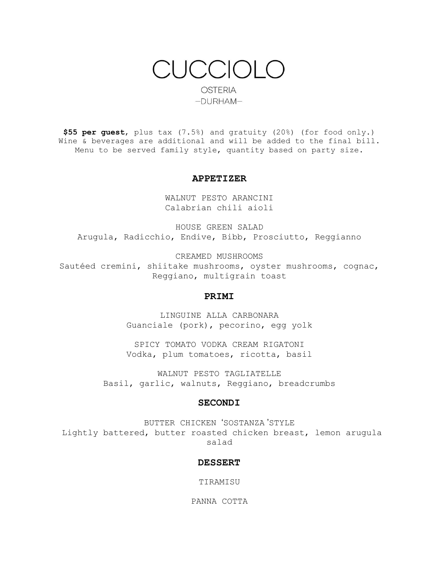CUCCIOLO **OSTERIA**  $-DURHAM-$ 

**\$55 per guest**, plus tax (7.5%) and gratuity (20%) (for food only.) Wine & beverages are additional and will be added to the final bill. Menu to be served family style, quantity based on party size.

# **APPETIZER**

WALNUT PESTO ARANCINI Calabrian chili aioli

HOUSE GREEN SALAD Arugula, Radicchio, Endive, Bibb, Prosciutto, Reggianno

CREAMED MUSHROOMS

Sautéed cremini, shiitake mushrooms, oyster mushrooms, cognac, Reggiano, multigrain toast

# **PRIMI**

LINGUINE ALLA CARBONARA Guanciale (pork), pecorino, egg yolk

SPICY TOMATO VODKA CREAM RIGATONI Vodka, plum tomatoes, ricotta, basil

WALNUT PESTO TAGLIATELLE Basil, garlic, walnuts, Reggiano, breadcrumbs

# **SECONDI**

BUTTER CHICKEN 'SOSTANZA 'STYLE Lightly battered, butter roasted chicken breast, lemon arugula salad

### **DESSERT**

TIRAMISU

PANNA COTTA